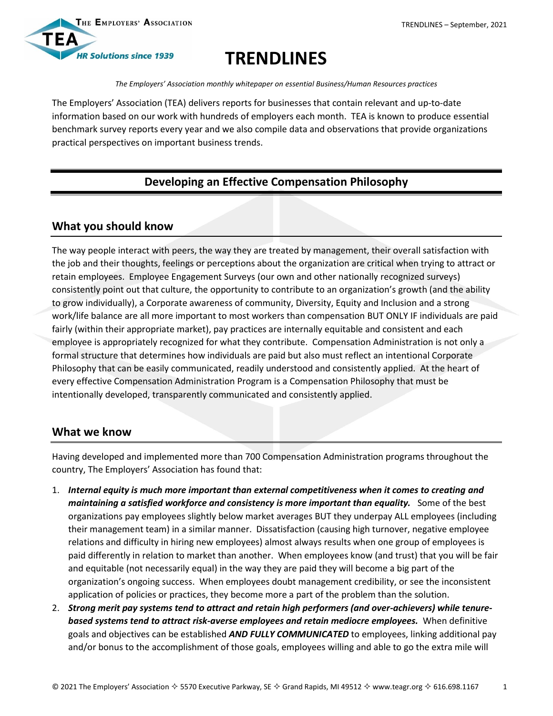

# **TRENDLINES**

*The Employers' Association monthly whitepaper on essential Business/Human Resources practices*

The Employers' Association (TEA) delivers reports for businesses that contain relevant and up-to-date information based on our work with hundreds of employers each month. TEA is known to produce essential benchmark survey reports every year and we also compile data and observations that provide organizations practical perspectives on important business trends.

## **Developing an Effective Compensation Philosophy**

#### **What you should know**

The way people interact with peers, the way they are treated by management, their overall satisfaction with the job and their thoughts, feelings or perceptions about the organization are critical when trying to attract or retain employees. Employee Engagement Surveys (our own and other nationally recognized surveys) consistently point out that culture, the opportunity to contribute to an organization's growth (and the ability to grow individually), a Corporate awareness of community, Diversity, Equity and Inclusion and a strong work/life balance are all more important to most workers than compensation BUT ONLY IF individuals are paid fairly (within their appropriate market), pay practices are internally equitable and consistent and each employee is appropriately recognized for what they contribute. Compensation Administration is not only a formal structure that determines how individuals are paid but also must reflect an intentional Corporate Philosophy that can be easily communicated, readily understood and consistently applied. At the heart of every effective Compensation Administration Program is a Compensation Philosophy that must be intentionally developed, transparently communicated and consistently applied.

## **What we know**

Having developed and implemented more than 700 Compensation Administration programs throughout the country, The Employers' Association has found that:

- 1. *Internal equity is much more important than external competitiveness when it comes to creating and maintaining a satisfied workforce and consistency is more important than equality.* Some of the best organizations pay employees slightly below market averages BUT they underpay ALL employees (including their management team) in a similar manner. Dissatisfaction (causing high turnover, negative employee relations and difficulty in hiring new employees) almost always results when one group of employees is paid differently in relation to market than another. When employees know (and trust) that you will be fair and equitable (not necessarily equal) in the way they are paid they will become a big part of the organization's ongoing success. When employees doubt management credibility, or see the inconsistent application of policies or practices, they become more a part of the problem than the solution.
- 2. *Strong merit pay systems tend to attract and retain high performers (and over-achievers) while tenurebased systems tend to attract risk-averse employees and retain mediocre employees.* When definitive goals and objectives can be established *AND FULLY COMMUNICATED* to employees, linking additional pay and/or bonus to the accomplishment of those goals, employees willing and able to go the extra mile will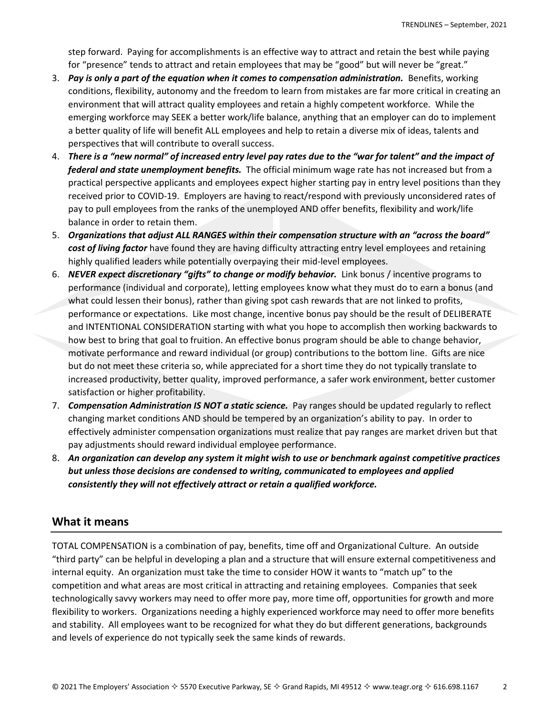step forward. Paying for accomplishments is an effective way to attract and retain the best while paying for "presence" tends to attract and retain employees that may be "good" but will never be "great."

- 3. Pay is only a part of the equation when it comes to compensation administration. Benefits, working conditions, flexibility, autonomy and the freedom to learn from mistakes are far more critical in creating an environment that will attract quality employees and retain a highly competent workforce. While the emerging workforce may SEEK a better work/life balance, anything that an employer can do to implement a better quality of life will benefit ALL employees and help to retain a diverse mix of ideas, talents and perspectives that will contribute to overall success.
- 4. *There is a "new normal" of increased entry level pay rates due to the "war for talent" and the impact of federal and state unemployment benefits.* The official minimum wage rate has not increased but from a practical perspective applicants and employees expect higher starting pay in entry level positions than they received prior to COVID-19. Employers are having to react/respond with previously unconsidered rates of pay to pull employees from the ranks of the unemployed AND offer benefits, flexibility and work/life balance in order to retain them.
- 5. *Organizations that adjust ALL RANGES within their compensation structure with an "across the board" cost of living factor* have found they are having difficulty attracting entry level employees and retaining highly qualified leaders while potentially overpaying their mid-level employees.
- 6. *NEVER expect discretionary "gifts" to change or modify behavior.* Link bonus / incentive programs to performance (individual and corporate), letting employees know what they must do to earn a bonus (and what could lessen their bonus), rather than giving spot cash rewards that are not linked to profits, performance or expectations. Like most change, incentive bonus pay should be the result of DELIBERATE and INTENTIONAL CONSIDERATION starting with what you hope to accomplish then working backwards to how best to bring that goal to fruition. An effective bonus program should be able to change behavior, motivate performance and reward individual (or group) contributions to the bottom line. Gifts are nice but do not meet these criteria so, while appreciated for a short time they do not typically translate to increased productivity, better quality, improved performance, a safer work environment, better customer satisfaction or higher profitability.
- 7. *Compensation Administration IS NOT a static science.* Pay ranges should be updated regularly to reflect changing market conditions AND should be tempered by an organization's ability to pay. In order to effectively administer compensation organizations must realize that pay ranges are market driven but that pay adjustments should reward individual employee performance.
- 8. *An organization can develop any system it might wish to use or benchmark against competitive practices but unless those decisions are condensed to writing, communicated to employees and applied consistently they will not effectively attract or retain a qualified workforce.*

## **What it means**

TOTAL COMPENSATION is a combination of pay, benefits, time off and Organizational Culture. An outside "third party" can be helpful in developing a plan and a structure that will ensure external competitiveness and internal equity. An organization must take the time to consider HOW it wants to "match up" to the competition and what areas are most critical in attracting and retaining employees. Companies that seek technologically savvy workers may need to offer more pay, more time off, opportunities for growth and more flexibility to workers. Organizations needing a highly experienced workforce may need to offer more benefits and stability. All employees want to be recognized for what they do but different generations, backgrounds and levels of experience do not typically seek the same kinds of rewards.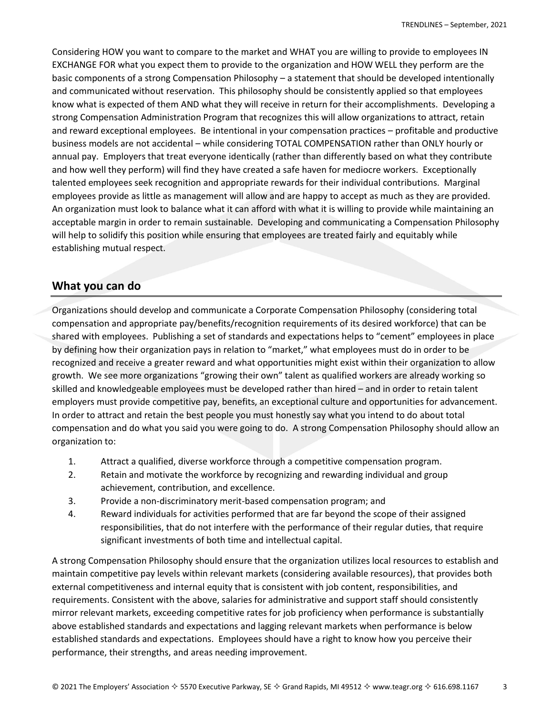Considering HOW you want to compare to the market and WHAT you are willing to provide to employees IN EXCHANGE FOR what you expect them to provide to the organization and HOW WELL they perform are the basic components of a strong Compensation Philosophy – a statement that should be developed intentionally and communicated without reservation. This philosophy should be consistently applied so that employees know what is expected of them AND what they will receive in return for their accomplishments. Developing a strong Compensation Administration Program that recognizes this will allow organizations to attract, retain and reward exceptional employees. Be intentional in your compensation practices – profitable and productive business models are not accidental – while considering TOTAL COMPENSATION rather than ONLY hourly or annual pay. Employers that treat everyone identically (rather than differently based on what they contribute and how well they perform) will find they have created a safe haven for mediocre workers. Exceptionally talented employees seek recognition and appropriate rewards for their individual contributions. Marginal employees provide as little as management will allow and are happy to accept as much as they are provided. An organization must look to balance what it can afford with what it is willing to provide while maintaining an acceptable margin in order to remain sustainable. Developing and communicating a Compensation Philosophy will help to solidify this position while ensuring that employees are treated fairly and equitably while establishing mutual respect.

#### **What you can do**

Organizations should develop and communicate a Corporate Compensation Philosophy (considering total compensation and appropriate pay/benefits/recognition requirements of its desired workforce) that can be shared with employees. Publishing a set of standards and expectations helps to "cement" employees in place by defining how their organization pays in relation to "market," what employees must do in order to be recognized and receive a greater reward and what opportunities might exist within their organization to allow growth. We see more organizations "growing their own" talent as qualified workers are already working so skilled and knowledgeable employees must be developed rather than hired – and in order to retain talent employers must provide competitive pay, benefits, an exceptional culture and opportunities for advancement. In order to attract and retain the best people you must honestly say what you intend to do about total compensation and do what you said you were going to do. A strong Compensation Philosophy should allow an organization to:

- 1. Attract a qualified, diverse workforce through a competitive compensation program.
- 2. Retain and motivate the workforce by recognizing and rewarding individual and group achievement, contribution, and excellence.
- 3. Provide a non-discriminatory merit-based compensation program; and
- 4. Reward individuals for activities performed that are far beyond the scope of their assigned responsibilities, that do not interfere with the performance of their regular duties, that require significant investments of both time and intellectual capital.

A strong Compensation Philosophy should ensure that the organization utilizes local resources to establish and maintain competitive pay levels within relevant markets (considering available resources), that provides both external competitiveness and internal equity that is consistent with job content, responsibilities, and requirements. Consistent with the above, salaries for administrative and support staff should consistently mirror relevant markets, exceeding competitive rates for job proficiency when performance is substantially above established standards and expectations and lagging relevant markets when performance is below established standards and expectations. Employees should have a right to know how you perceive their performance, their strengths, and areas needing improvement.